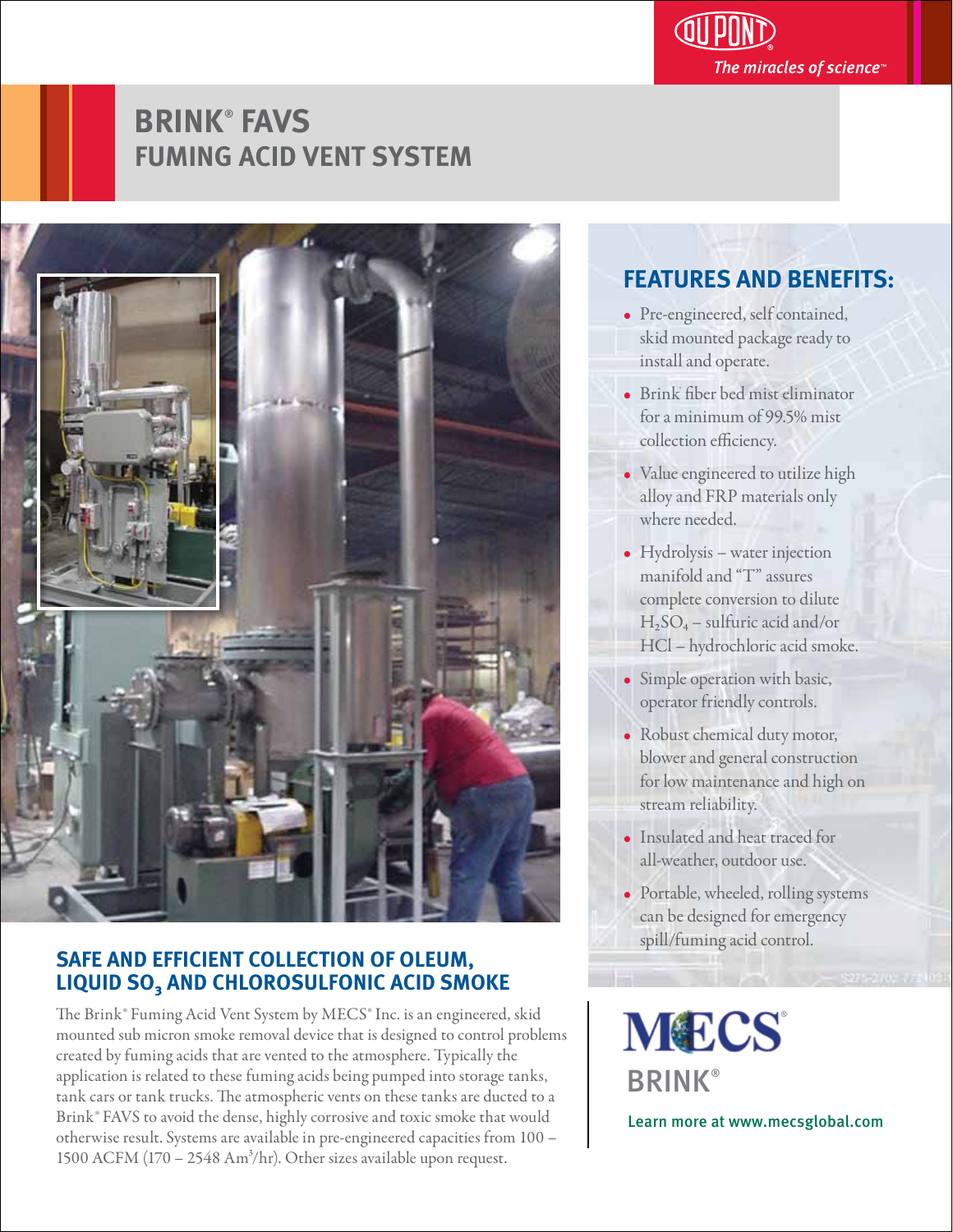

# **BRINK**®  **FAVS FUMING ACID VENT SYSTEM**



## **SAFE AND EFFICIENT COLLECTION OF OLEUM, LIQUID SO₃ AND CHLOROSULFONIC ACID SMOKE**

The Brink® Fuming Acid Vent System by MECS® Inc. is an engineered, skid mounted sub micron smoke removal device that is designed to control problems created by fuming acids that are vented to the atmosphere. Typically the application is related to these fuming acids being pumped into storage tanks, tank cars or tank trucks. The atmospheric vents on these tanks are ducted to a Brink® FAVS to avoid the dense, highly corrosive and toxic smoke that would otherwise result. Systems are available in pre-engineered capacities from 100 – 1500 ACFM (170 – 2548 Am<sup>3</sup>/hr). Other sizes available upon request.

#### **FEATURES AND BENEFITS:**

- Pre-engineered, self contained, skid mounted package ready to install and operate.
- Brink fiber bed mist eliminator for a minimum of 99.5% mist collection efficiency.
- Value engineered to utilize high alloy and FRP materials only where needed.
- Hydrolysis water injection manifold and "T" assures complete conversion to dilute  $H<sub>2</sub>SO<sub>4</sub>$  – sulfuric acid and/or HCl – hydrochloric acid smoke.
- Simple operation with basic, operator friendly controls.
- Robust chemical duty motor, blower and general construction for low maintenance and high on stream reliability.
- Insulated and heat traced for all-weather, outdoor use.
- Portable, wheeled, rolling systems can be designed for emergency spill/fuming acid control.

**MECS BRINK®** 

Learn more at www.mecsglobal.com